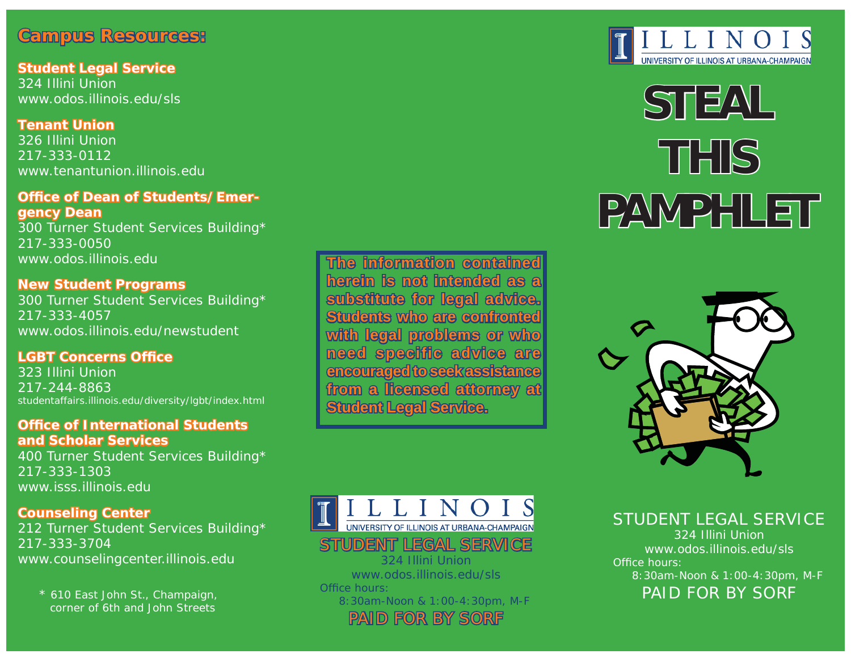## **Campus Resources: <sup>a</sup> m p u s R e so u rce s:**

**Student Legal Service tu dent Leg al Service**324 Illini Union www.odos.illinois.edu/sls

**Tenant Union enant Union** 326 Illini Union217-333-0112www.tenantunion.illinois.edu

#### **Office of Dean of Students/Emergency Dean <sup>e</sup> n cy D ea n**

300 Turner Student Services Building\* 217-333-0050www.odos.illinois.edu

#### **New Student Programs ew S tu d e n t P rog ra m s**

300 Turner Student Services Building\* 217-333-4057www.odos.illinois.edu/newstudent

#### **LGBT Concerns Office**

323 Illini Union217-244-8863studentaffairs.illinois.edu/diversity/lgbt/index.html

#### **Office of International Students and Scholar Services nd Scholar Services**

400 Turner Student Services Building\* 217-333-1303www.isss.illinois.edu

#### **Counseling Center <sup>o</sup> unseling Ce nter**

212 Turner Student Services Building\* 217-333-3704 www.counselingcenter.illinois.edu

\* 610 East John St., Champaign, corner of 6th and John Streets

**The information contained he information contained herein is not intended as al substitute for legal advice. Students who are confronted** with legal problems or who  $\blacksquare$  all all  $\blacksquare$  and  $\blacksquare$  and  $\blacksquare$ **encouraged to seek assistance ncouraged**  from a licensed attorney at **Student Legal Service. tudent** 



PAID FOR BY SORF



# **STEAL THISPAMPHLET A MP H L E T**



STUDENT LEGAL SERVICE324 Illini Unionwww.odos.illinois.edu/slsOffice hours: 8:30am-Noon & 1:00-4:30pm, M-F PAID FOR BY SORF